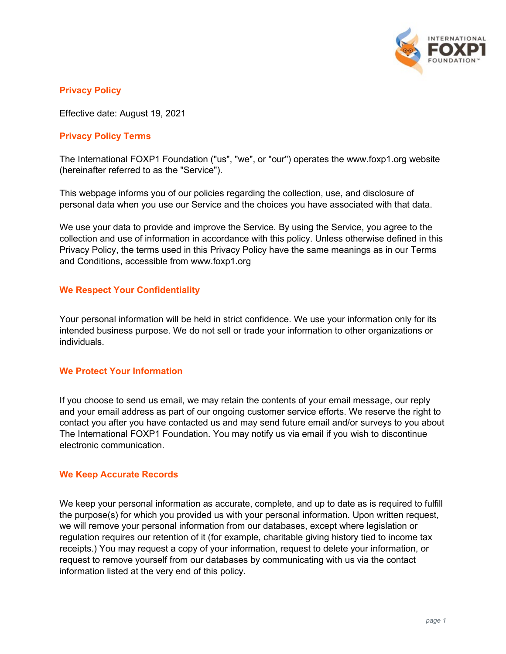

# **Privacy Policy**

Effective date: August 19, 2021

# **Privacy Policy Terms**

The International FOXP1 Foundation ("us", "we", or "our") operates the www.foxp1.org website (hereinafter referred to as the "Service").

This webpage informs you of our policies regarding the collection, use, and disclosure of personal data when you use our Service and the choices you have associated with that data.

We use your data to provide and improve the Service. By using the Service, you agree to the collection and use of information in accordance with this policy. Unless otherwise defined in this Privacy Policy, the terms used in this Privacy Policy have the same meanings as in our Terms and Conditions, accessible from www.foxp1.org

#### **We Respect Your Confidentiality**

Your personal information will be held in strict confidence. We use your information only for its intended business purpose. We do not sell or trade your information to other organizations or individuals.

#### **We Protect Your Information**

If you choose to send us email, we may retain the contents of your email message, our reply and your email address as part of our ongoing customer service efforts. We reserve the right to contact you after you have contacted us and may send future email and/or surveys to you about The International FOXP1 Foundation. You may notify us via email if you wish to discontinue electronic communication.

#### **We Keep Accurate Records**

We keep your personal information as accurate, complete, and up to date as is required to fulfill the purpose(s) for which you provided us with your personal information. Upon written request, we will remove your personal information from our databases, except where legislation or regulation requires our retention of it (for example, charitable giving history tied to income tax receipts.) You may request a copy of your information, request to delete your information, or request to remove yourself from our databases by communicating with us via the contact information listed at the very end of this policy.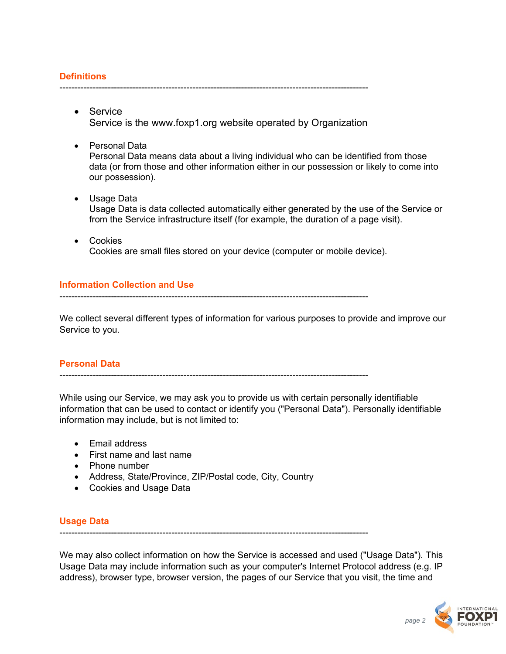# **Definitions**

------------------------------------------------------------------------------------------------------

- Service Service is the www.foxp1.org website operated by Organization
- Personal Data Personal Data means data about a living individual who can be identified from those data (or from those and other information either in our possession or likely to come into our possession).
- Usage Data Usage Data is data collected automatically either generated by the use of the Service or from the Service infrastructure itself (for example, the duration of a page visit).
- Cookies Cookies are small files stored on your device (computer or mobile device).

# **Information Collection and Use**

------------------------------------------------------------------------------------------------------

We collect several different types of information for various purposes to provide and improve our Service to you.

# **Personal Data**

------------------------------------------------------------------------------------------------------

While using our Service, we may ask you to provide us with certain personally identifiable information that can be used to contact or identify you ("Personal Data"). Personally identifiable information may include, but is not limited to:

- Email address
- First name and last name
- Phone number
- Address, State/Province, ZIP/Postal code, City, Country
- Cookies and Usage Data

# **Usage Data**

------------------------------------------------------------------------------------------------------

We may also collect information on how the Service is accessed and used ("Usage Data"). This Usage Data may include information such as your computer's Internet Protocol address (e.g. IP address), browser type, browser version, the pages of our Service that you visit, the time and

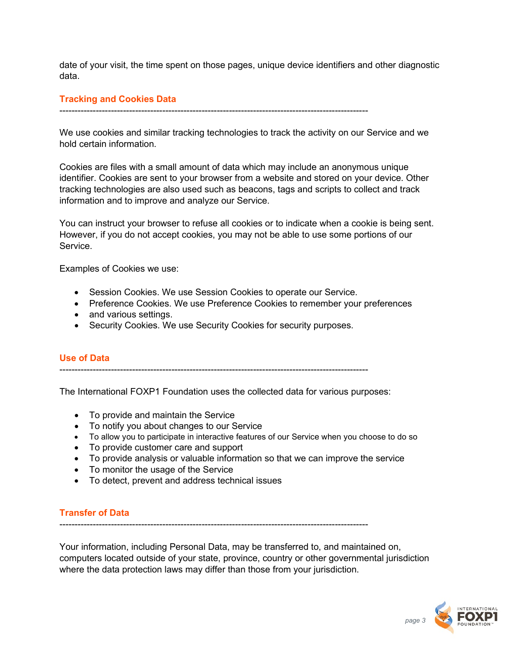date of your visit, the time spent on those pages, unique device identifiers and other diagnostic data.

### **Tracking and Cookies Data**

------------------------------------------------------------------------------------------------------

We use cookies and similar tracking technologies to track the activity on our Service and we hold certain information.

Cookies are files with a small amount of data which may include an anonymous unique identifier. Cookies are sent to your browser from a website and stored on your device. Other tracking technologies are also used such as beacons, tags and scripts to collect and track information and to improve and analyze our Service.

You can instruct your browser to refuse all cookies or to indicate when a cookie is being sent. However, if you do not accept cookies, you may not be able to use some portions of our Service.

Examples of Cookies we use:

- Session Cookies. We use Session Cookies to operate our Service.
- Preference Cookies. We use Preference Cookies to remember your preferences
- and various settings.
- Security Cookies. We use Security Cookies for security purposes.

# **Use of Data**

------------------------------------------------------------------------------------------------------

The International FOXP1 Foundation uses the collected data for various purposes:

- To provide and maintain the Service
- To notify you about changes to our Service
- To allow you to participate in interactive features of our Service when you choose to do so
- To provide customer care and support
- To provide analysis or valuable information so that we can improve the service
- To monitor the usage of the Service
- To detect, prevent and address technical issues

# **Transfer of Data**

------------------------------------------------------------------------------------------------------

Your information, including Personal Data, may be transferred to, and maintained on, computers located outside of your state, province, country or other governmental jurisdiction where the data protection laws may differ than those from your jurisdiction.

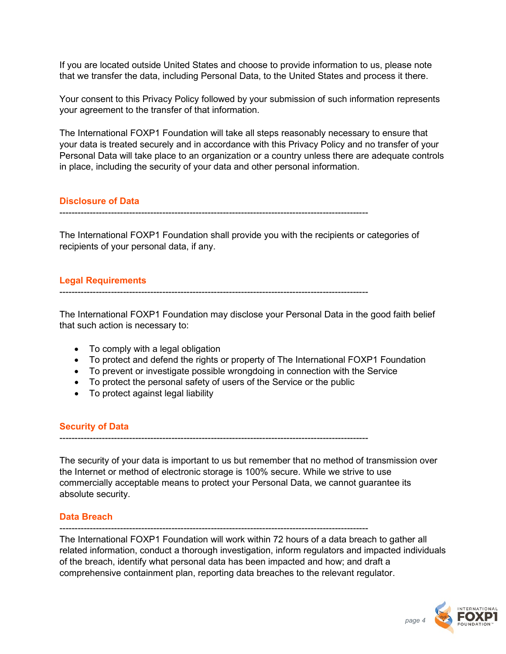If you are located outside United States and choose to provide information to us, please note that we transfer the data, including Personal Data, to the United States and process it there.

Your consent to this Privacy Policy followed by your submission of such information represents your agreement to the transfer of that information.

The International FOXP1 Foundation will take all steps reasonably necessary to ensure that your data is treated securely and in accordance with this Privacy Policy and no transfer of your Personal Data will take place to an organization or a country unless there are adequate controls in place, including the security of your data and other personal information.

# **Disclosure of Data**

------------------------------------------------------------------------------------------------------

The International FOXP1 Foundation shall provide you with the recipients or categories of recipients of your personal data, if any.

# **Legal Requirements**

The International FOXP1 Foundation may disclose your Personal Data in the good faith belief that such action is necessary to:

------------------------------------------------------------------------------------------------------

- To comply with a legal obligation
- To protect and defend the rights or property of The International FOXP1 Foundation
- To prevent or investigate possible wrongdoing in connection with the Service
- To protect the personal safety of users of the Service or the public
- To protect against legal liability

# **Security of Data**

------------------------------------------------------------------------------------------------------

The security of your data is important to us but remember that no method of transmission over the Internet or method of electronic storage is 100% secure. While we strive to use commercially acceptable means to protect your Personal Data, we cannot guarantee its absolute security.

# **Data Breach**

------------------------------------------------------------------------------------------------------

The International FOXP1 Foundation will work within 72 hours of a data breach to gather all related information, conduct a thorough investigation, inform regulators and impacted individuals of the breach, identify what personal data has been impacted and how; and draft a comprehensive containment plan, reporting data breaches to the relevant regulator.

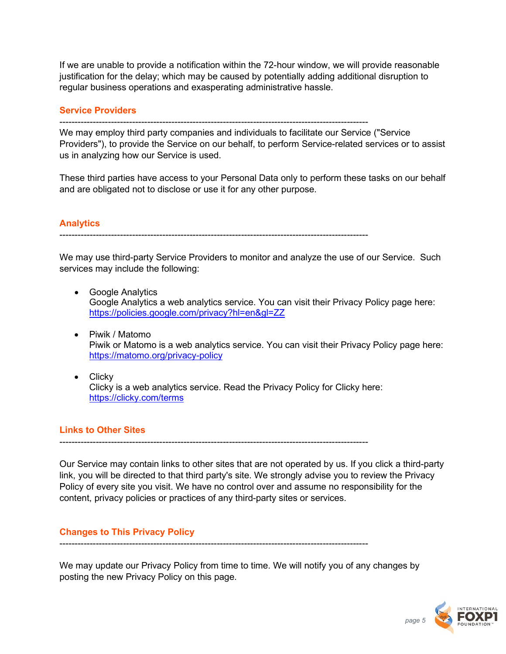If we are unable to provide a notification within the 72-hour window, we will provide reasonable justification for the delay; which may be caused by potentially adding additional disruption to regular business operations and exasperating administrative hassle.

#### **Service Providers**

We may employ third party companies and individuals to facilitate our Service ("Service Providers"), to provide the Service on our behalf, to perform Service-related services or to assist us in analyzing how our Service is used.

 $-$ 

These third parties have access to your Personal Data only to perform these tasks on our behalf and are obligated not to disclose or use it for any other purpose.

# **Analytics**

------------------------------------------------------------------------------------------------------

We may use third-party Service Providers to monitor and analyze the use of our Service. Such services may include the following:

- Google Analytics Google Analytics a web analytics service. You can visit their Privacy Policy page here: <https://policies.google.com/privacy?hl=en&gl=ZZ>
- Piwik / Matomo Piwik or Matomo is a web analytics service. You can visit their Privacy Policy page here: <https://matomo.org/privacy-policy>
- Clicky Clicky is a web analytics service. Read the Privacy Policy for Clicky here: <https://clicky.com/terms>

# **Links to Other Sites**

Our Service may contain links to other sites that are not operated by us. If you click a third-party link, you will be directed to that third party's site. We strongly advise you to review the Privacy Policy of every site you visit. We have no control over and assume no responsibility for the content, privacy policies or practices of any third-party sites or services.

------------------------------------------------------------------------------------------------------

# **Changes to This Privacy Policy**

------------------------------------------------------------------------------------------------------

We may update our Privacy Policy from time to time. We will notify you of any changes by posting the new Privacy Policy on this page.